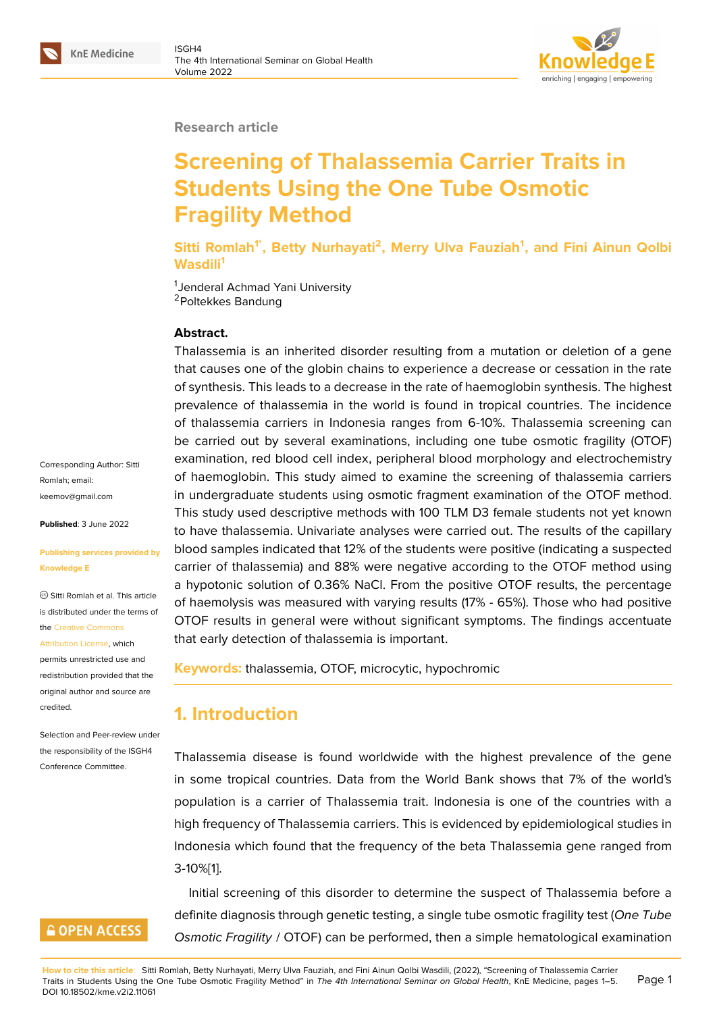#### **Research article**

# **Screening of Thalassemia Carrier Traits in Students Using the One Tube Osmotic Fragility Method**

**Sitti Romlah1\*, Betty Nurhayati<sup>2</sup> , Merry Ulva Fauziah<sup>1</sup> , and Fini Ainun Qolbi Wasdili<sup>1</sup>**

<sup>1</sup>Jenderal Achmad Yani University <sup>2</sup>Poltekkes Bandung

#### **Abstract.**

Thalassemia is an inherited disorder resulting from a mutation or deletion of a gene that causes one of the globin chains to experience a decrease or cessation in the rate of synthesis. This leads to a decrease in the rate of haemoglobin synthesis. The highest prevalence of thalassemia in the world is found in tropical countries. The incidence of thalassemia carriers in Indonesia ranges from 6-10%. Thalassemia screening can be carried out by several examinations, including one tube osmotic fragility (OTOF) examination, red blood cell index, peripheral blood morphology and electrochemistry of haemoglobin. This study aimed to examine the screening of thalassemia carriers in undergraduate students using osmotic fragment examination of the OTOF method. This study used descriptive methods with 100 TLM D3 female students not yet known to have thalassemia. Univariate analyses were carried out. The results of the capillary blood samples indicated that 12% of the students were positive (indicating a suspected carrier of thalassemia) and 88% were negative according to the OTOF method using a hypotonic solution of 0.36% NaCl. From the positive OTOF results, the percentage of haemolysis was measured with varying results (17% - 65%). Those who had positive OTOF results in general were without significant symptoms. The findings accentuate that early detection of thalassemia is important.

**Keywords:** thalassemia, OTOF, microcytic, hypochromic

# **1. Introduction**

Thalassemia disease is found worldwide with the highest prevalence of the gene in some tropical countries. Data from the World Bank shows that 7% of the world's population is a carrier of Thalassemia trait. Indonesia is one of the countries with a high frequency of Thalassemia carriers. This is evidenced by epidemiological studies in Indonesia which found that the frequency of the beta Thalassemia gene ranged from 3-10%[1].

Initial screening of this disorder to determine the suspect of Thalassemia before a definite diagnosis through genetic testing, a single tube osmotic fragility test (*One Tube Osmo[ti](#page-4-0)c Fragility* / OTOF) can be performed, then a simple hematological examination

Corresponding Author: Sitti Romlah; email: keemov@gmail.com

**Published**: 3 June 2022

#### **[Publishing services](mailto:keemov@gmail.com) provided by Knowledge E**

Sitti Romlah et al. This article is distributed under the terms of the Creative Commons

Attribution License, which

permits unrestricted use and redistribution provided that the orig[inal author and sou](https://creativecommons.org/licenses/by/4.0/)rce are [credited.](https://creativecommons.org/licenses/by/4.0/)

Selection and Peer-review under the responsibility of the ISGH4 Conference Committee.

# **GOPEN ACCESS**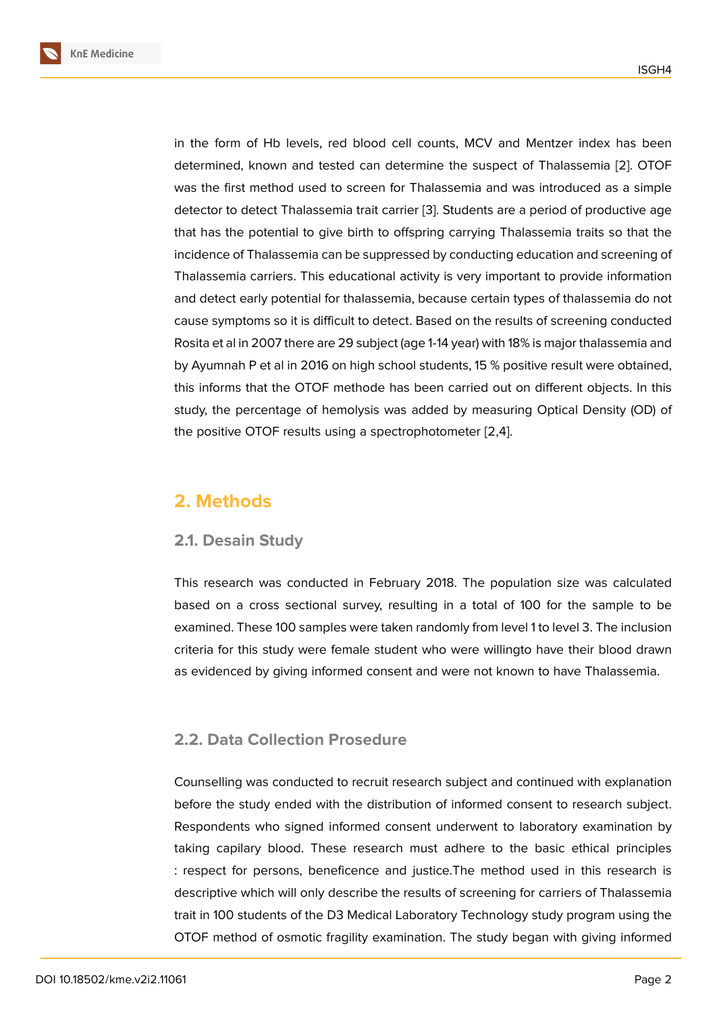in the form of Hb levels, red blood cell counts, MCV and Mentzer index has been determined, known and tested can determine the suspect of Thalassemia [2]. OTOF was the first method used to screen for Thalassemia and was introduced as a simple detector to detect Thalassemia trait carrier [3]. Students are a period of productive age that has the potential to give birth to offspring carrying Thalassemia traits s[o](#page-4-1) that the incidence of Thalassemia can be suppressed by conducting education and screening of Thalassemia carriers. This educational acti[vit](#page-4-2)y is very important to provide information and detect early potential for thalassemia, because certain types of thalassemia do not cause symptoms so it is difficult to detect. Based on the results of screening conducted Rosita et al in 2007 there are 29 subject (age 1-14 year) with 18% is major thalassemia and by Ayumnah P et al in 2016 on high school students, 15 % positive result were obtained, this informs that the OTOF methode has been carried out on different objects. In this study, the percentage of hemolysis was added by measuring Optical Density (OD) of the positive OTOF results using a spectrophotometer [2,4].

# **2. Methods**

## **2.1. Desain Study**

This research was conducted in February 2018. The population size was calculated based on a cross sectional survey, resulting in a total of 100 for the sample to be examined. These 100 samples were taken randomly from level 1 to level 3. The inclusion criteria for this study were female student who were willingto have their blood drawn as evidenced by giving informed consent and were not known to have Thalassemia.

## **2.2. Data Collection Prosedure**

Counselling was conducted to recruit research subject and continued with explanation before the study ended with the distribution of informed consent to research subject. Respondents who signed informed consent underwent to laboratory examination by taking capilary blood. These research must adhere to the basic ethical principles : respect for persons, beneficence and justice.The method used in this research is descriptive which will only describe the results of screening for carriers of Thalassemia trait in 100 students of the D3 Medical Laboratory Technology study program using the OTOF method of osmotic fragility examination. The study began with giving informed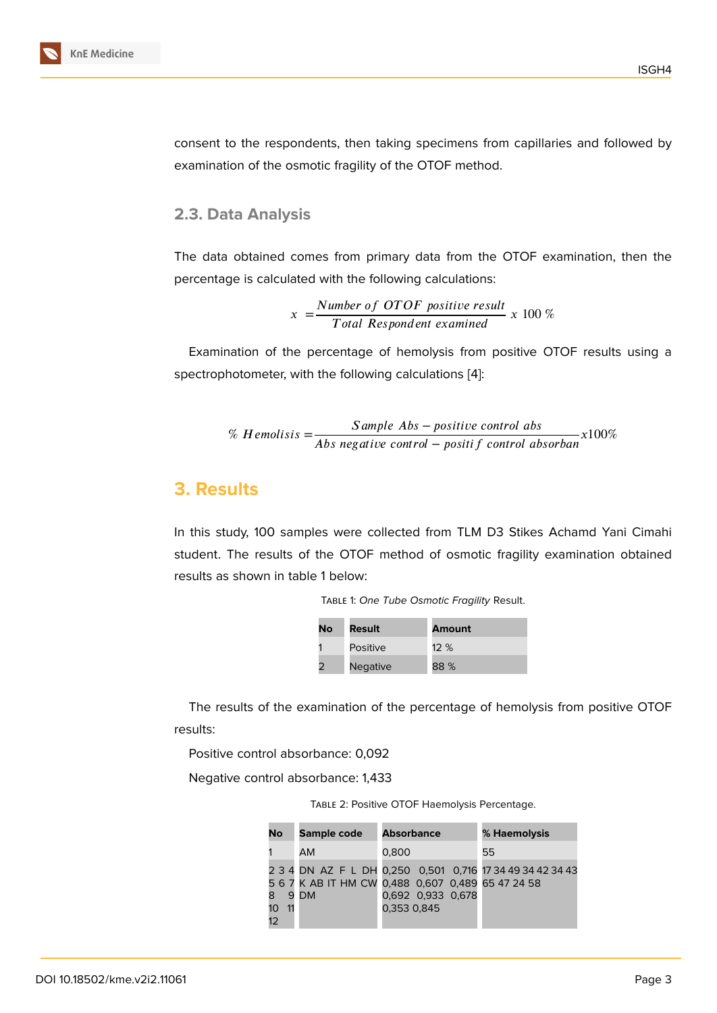consent to the respondents, then taking specimens from capillaries and followed by examination of the osmotic fragility of the OTOF method.

#### **2.3. Data Analysis**

The data obtained comes from primary data from the OTOF examination, then the percentage is calculated with the following calculations:

> $x = \frac{Number of OTOF positive result}{T}$ 100 %

Examination of the percentage of hemolysis from positive OTOF results using a spectrophotometer, with the following calculations [4]:

% *Hemolisis*  $=\frac{Sample\ Abs - positive\ control\ abs}{Abs\ negative\ control - positive\ for\ of\ absorban}x100\%$ 

### **3. Results**

In this study, 100 samples were collected from TLM D3 Stikes Achamd Yani Cimahi student. The results of the OTOF method of osmotic fragility examination obtained results as shown in table 1 below:

| TABLE 1: One Tube Osmotic Fragility Result. |  |
|---------------------------------------------|--|
|---------------------------------------------|--|

| No | Result          | Amount |
|----|-----------------|--------|
|    | Positive        | $12\%$ |
|    | <b>Negative</b> | 88 %   |

The results of the examination of the percentage of hemolysis from positive OTOF results:

Positive control absorbance: 0,092

Negative control absorbance: 1,433

Table 2: Positive OTOF Haemolysis Percentage.

| No                          | Sample code | <b>Absorbance</b>                                                                                                                   | % Haemolysis |
|-----------------------------|-------------|-------------------------------------------------------------------------------------------------------------------------------------|--------------|
|                             | <b>AM</b>   | 0.800                                                                                                                               | 55           |
| 8                           | 9 DM        | 2 3 4 DN AZ F L DH 0,250 0,501 0,716 17 34 49 34 42 34 43<br>5 6 7 K AB IT HM CW 0,488 0,607 0,489 65 47 24 58<br>0,692 0,933 0,678 |              |
| 10 <sup>°</sup><br>11<br>12 |             | 0.353 0.845                                                                                                                         |              |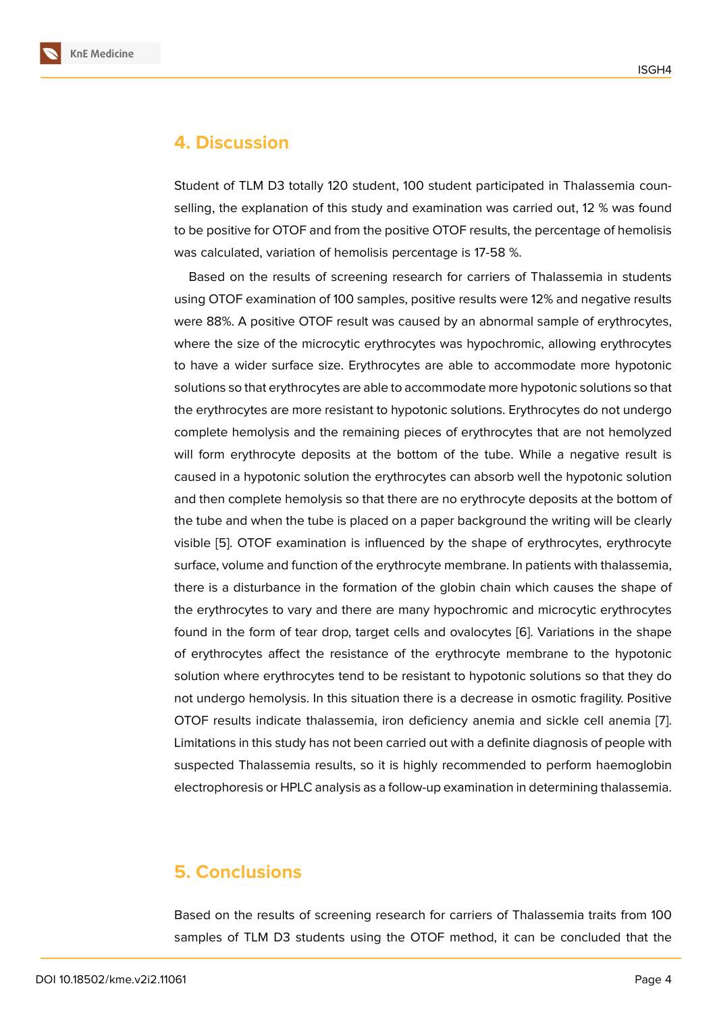## **4. Discussion**

Student of TLM D3 totally 120 student, 100 student participated in Thalassemia counselling, the explanation of this study and examination was carried out, 12 % was found to be positive for OTOF and from the positive OTOF results, the percentage of hemolisis was calculated, variation of hemolisis percentage is 17-58 %.

Based on the results of screening research for carriers of Thalassemia in students using OTOF examination of 100 samples, positive results were 12% and negative results were 88%. A positive OTOF result was caused by an abnormal sample of erythrocytes, where the size of the microcytic erythrocytes was hypochromic, allowing erythrocytes to have a wider surface size. Erythrocytes are able to accommodate more hypotonic solutions so that erythrocytes are able to accommodate more hypotonic solutions so that the erythrocytes are more resistant to hypotonic solutions. Erythrocytes do not undergo complete hemolysis and the remaining pieces of erythrocytes that are not hemolyzed will form erythrocyte deposits at the bottom of the tube. While a negative result is caused in a hypotonic solution the erythrocytes can absorb well the hypotonic solution and then complete hemolysis so that there are no erythrocyte deposits at the bottom of the tube and when the tube is placed on a paper background the writing will be clearly visible [5]. OTOF examination is influenced by the shape of erythrocytes, erythrocyte surface, volume and function of the erythrocyte membrane. In patients with thalassemia, there is a disturbance in the formation of the globin chain which causes the shape of the ery[th](#page-4-4)rocytes to vary and there are many hypochromic and microcytic erythrocytes found in the form of tear drop, target cells and ovalocytes [6]. Variations in the shape of erythrocytes affect the resistance of the erythrocyte membrane to the hypotonic solution where erythrocytes tend to be resistant to hypotonic solutions so that they do not undergo hemolysis. In this situation there is a decrease [in](#page-4-5) osmotic fragility. Positive OTOF results indicate thalassemia, iron deficiency anemia and sickle cell anemia [7]. Limitations in this study has not been carried out with a definite diagnosis of people with suspected Thalassemia results, so it is highly recommended to perform haemoglobin electrophoresis or HPLC analysis as a follow-up examination in determining thalassem[ia](#page-4-6).

# **5. Conclusions**

Based on the results of screening research for carriers of Thalassemia traits from 100 samples of TLM D3 students using the OTOF method, it can be concluded that the